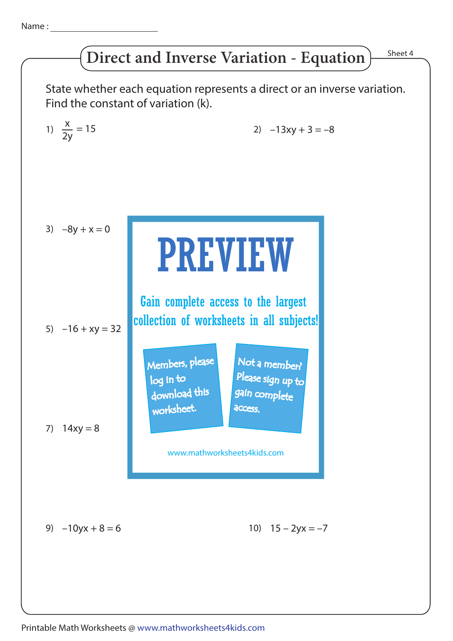